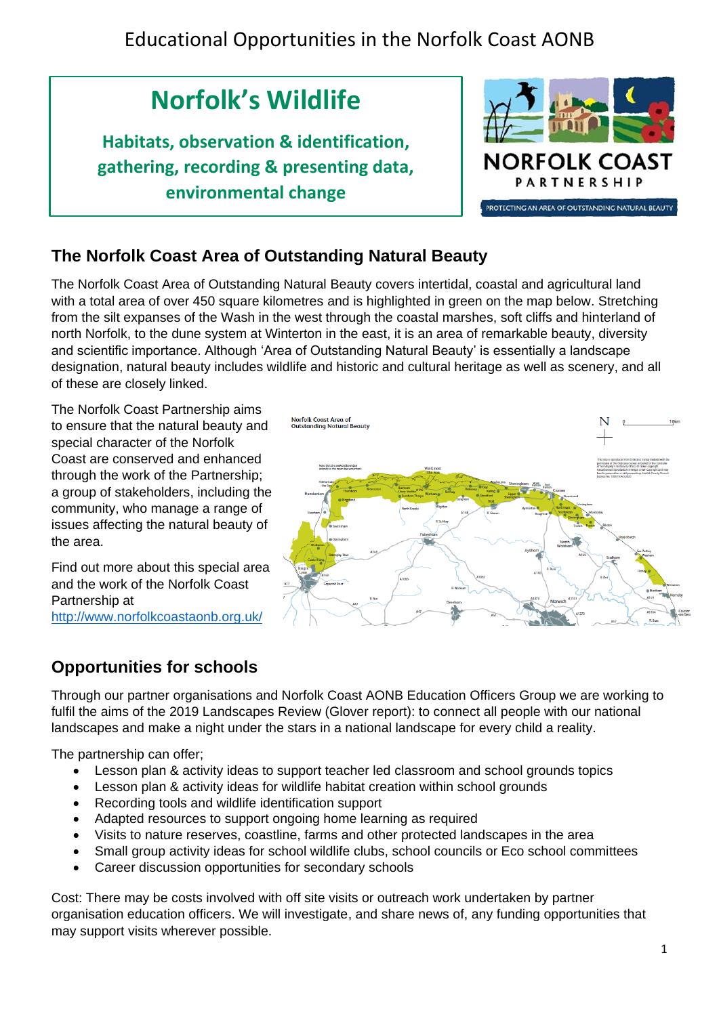# **Norfolk's Wildlife**

**Habitats, observation & identification, gathering, recording & presenting data, environmental change**



### **The Norfolk Coast Area of Outstanding Natural Beauty**

The Norfolk Coast Area of Outstanding Natural Beauty covers intertidal, coastal and agricultural land with a total area of over 450 square kilometres and is highlighted in green on the map below. Stretching from the silt expanses of the Wash in the west through the coastal marshes, soft cliffs and hinterland of north Norfolk, to the dune system at Winterton in the east, it is an area of remarkable beauty, diversity and scientific importance. Although 'Area of Outstanding Natural Beauty' is essentially a landscape designation, natural beauty includes wildlife and historic and cultural heritage as well as scenery, and all of these are closely linked.

The Norfolk Coast Partnership aims to ensure that the natural beauty and special character of the Norfolk Coast are conserved and enhanced through the work of the Partnership; a group of stakeholders, including the community, who manage a range of issues affecting the natural beauty of the area.

Find out more about this special area and the work of the Norfolk Coast Partnership at <http://www.norfolkcoastaonb.org.uk/>



### **Opportunities for schools**

Through our partner organisations and Norfolk Coast AONB Education Officers Group we are working to fulfil the aims of the 2019 Landscapes Review (Glover report): to connect all people with our national landscapes and make a night under the stars in a national landscape for every child a reality.

The partnership can offer;

- Lesson plan & activity ideas to support teacher led classroom and school grounds topics
- Lesson plan & activity ideas for wildlife habitat creation within school grounds
- Recording tools and wildlife identification support
- Adapted resources to support ongoing home learning as required
- Visits to nature reserves, coastline, farms and other protected landscapes in the area
- Small group activity ideas for school wildlife clubs, school councils or Eco school committees
- Career discussion opportunities for secondary schools

Cost: There may be costs involved with off site visits or outreach work undertaken by partner organisation education officers. We will investigate, and share news of, any funding opportunities that may support visits wherever possible.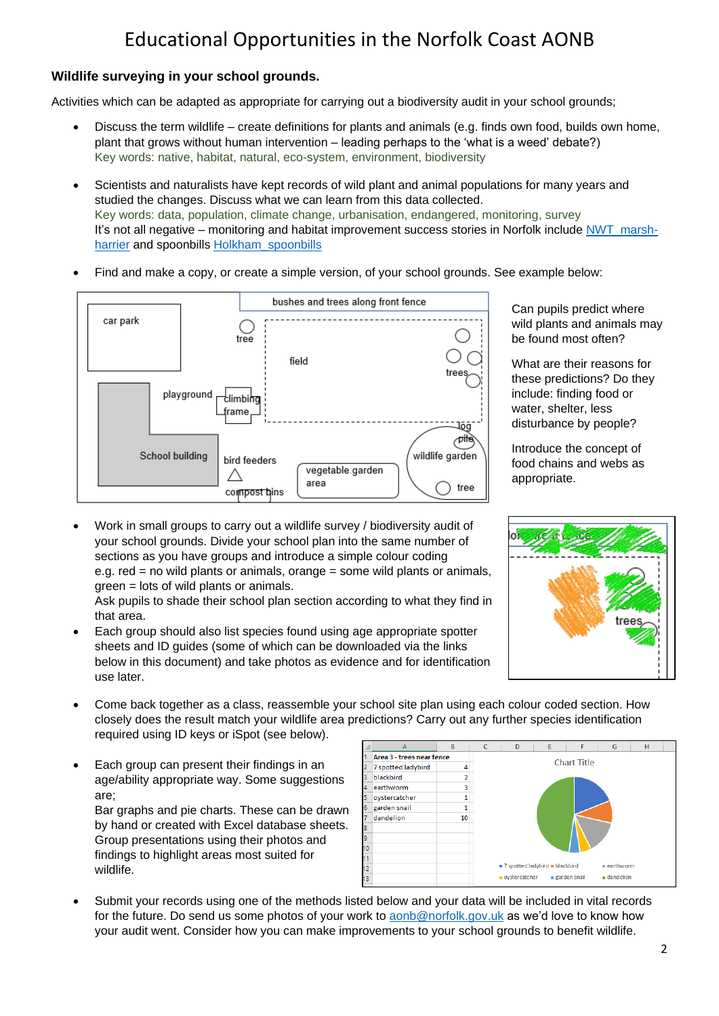#### **Wildlife surveying in your school grounds.**

Activities which can be adapted as appropriate for carrying out a biodiversity audit in your school grounds;

- Discuss the term wildlife create definitions for plants and animals (e.g. finds own food, builds own home, plant that grows without human intervention – leading perhaps to the 'what is a weed' debate?) Key words: native, habitat, natural, eco-system, environment, biodiversity
- Scientists and naturalists have kept records of wild plant and animal populations for many years and studied the changes. Discuss what we can learn from this data collected. Key words: data, population, climate change, urbanisation, endangered, monitoring, survey It's not all negative – monitoring and habitat improvement success stories in Norfolk include [NWT\\_marsh](https://www.norfolkwildlifetrust.org.uk/wildlife-in-norfolk/species-explorer/birds/marsh-harrier)[harrier](https://www.norfolkwildlifetrust.org.uk/wildlife-in-norfolk/species-explorer/birds/marsh-harrier) and spoonbills [Holkham\\_spoonbills](https://www.holkham.co.uk/blog/post/the-spoonbill-a-holkham-success-story)
- Find and make a copy, or create a simple version, of your school grounds. See example below:



• Work in small groups to carry out a wildlife survey / biodiversity audit of your school grounds. Divide your school plan into the same number of sections as you have groups and introduce a simple colour coding e.g. red = no wild plants or animals, orange = some wild plants or animals, green = lots of wild plants or animals.

Ask pupils to shade their school plan section according to what they find in that area.

- Each group should also list species found using age appropriate spotter sheets and ID guides (some of which can be downloaded via the links below in this document) and take photos as evidence and for identification use later.
- Come back together as a class, reassemble your school site plan using each colour coded section. How closely does the result match your wildlife area predictions? Carry out any further species identification required using ID keys or iSpot (see below).
- Each group can present their findings in an age/ability appropriate way. Some suggestions are; Bar graphs and pie charts. These can be drawn

by hand or created with Excel database sheets. Group presentations using their photos and findings to highlight areas most suited for wildlife.



• Submit your records using one of the methods listed below and your data will be included in vital records for the future. Do send us some photos of your work to [aonb@norfolk.gov.uk](mailto:aonb@norfolk.gov.uk) as we'd love to know how your audit went. Consider how you can make improvements to your school grounds to benefit wildlife.



What are their reasons for these predictions? Do they include: finding food or water, shelter, less disturbance by people?

Introduce the concept of food chains and webs as appropriate.

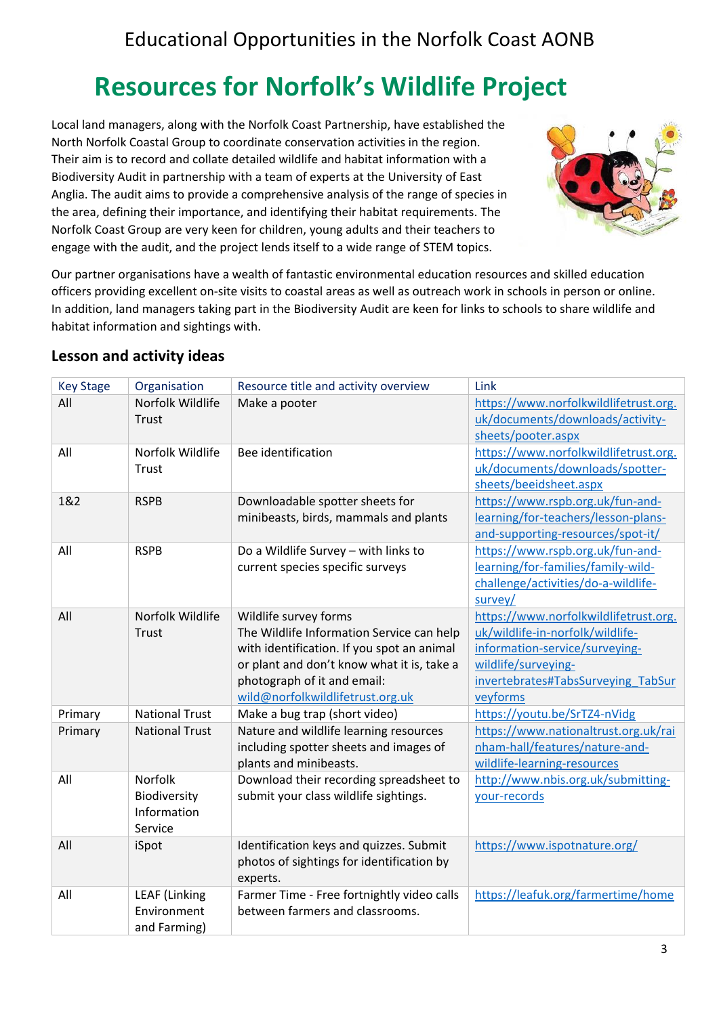# **Resources for Norfolk's Wildlife Project**

Local land managers, along with the Norfolk Coast Partnership, have established the North Norfolk Coastal Group to coordinate conservation activities in the region. Their aim is to record and collate detailed wildlife and habitat information with a Biodiversity Audit in partnership with a team of experts at the University of East Anglia. The audit aims to provide a comprehensive analysis of the range of species in the area, defining their importance, and identifying their habitat requirements. The Norfolk Coast Group are very keen for children, young adults and their teachers to engage with the audit, and the project lends itself to a wide range of STEM topics.



Our partner organisations have a wealth of fantastic environmental education resources and skilled education officers providing excellent on-site visits to coastal areas as well as outreach work in schools in person or online. In addition, land managers taking part in the Biodiversity Audit are keen for links to schools to share wildlife and habitat information and sightings with.

### **Lesson and activity ideas**

| <b>Key Stage</b> | Organisation                                             | Resource title and activity overview                                                                                                                                                                                              | Link                                                                                                                                                                                 |
|------------------|----------------------------------------------------------|-----------------------------------------------------------------------------------------------------------------------------------------------------------------------------------------------------------------------------------|--------------------------------------------------------------------------------------------------------------------------------------------------------------------------------------|
| All              | Norfolk Wildlife<br>Trust                                | Make a pooter                                                                                                                                                                                                                     | https://www.norfolkwildlifetrust.org.<br>uk/documents/downloads/activity-<br>sheets/pooter.aspx                                                                                      |
| All              | Norfolk Wildlife<br>Trust                                | Bee identification                                                                                                                                                                                                                | https://www.norfolkwildlifetrust.org.<br>uk/documents/downloads/spotter-<br>sheets/beeidsheet.aspx                                                                                   |
| 1&2              | <b>RSPB</b>                                              | Downloadable spotter sheets for<br>minibeasts, birds, mammals and plants                                                                                                                                                          | https://www.rspb.org.uk/fun-and-<br>learning/for-teachers/lesson-plans-<br>and-supporting-resources/spot-it/                                                                         |
| All              | <b>RSPB</b>                                              | Do a Wildlife Survey - with links to<br>current species specific surveys                                                                                                                                                          | https://www.rspb.org.uk/fun-and-<br>learning/for-families/family-wild-<br>challenge/activities/do-a-wildlife-<br>survey/                                                             |
| All              | Norfolk Wildlife<br><b>Trust</b>                         | Wildlife survey forms<br>The Wildlife Information Service can help<br>with identification. If you spot an animal<br>or plant and don't know what it is, take a<br>photograph of it and email:<br>wild@norfolkwildlifetrust.org.uk | https://www.norfolkwildlifetrust.org.<br>uk/wildlife-in-norfolk/wildlife-<br>information-service/surveying-<br>wildlife/surveying-<br>invertebrates#TabsSurveying TabSur<br>veyforms |
| Primary          | <b>National Trust</b>                                    | Make a bug trap (short video)                                                                                                                                                                                                     | https://youtu.be/SrTZ4-nVidg                                                                                                                                                         |
| Primary          | <b>National Trust</b>                                    | Nature and wildlife learning resources<br>including spotter sheets and images of<br>plants and minibeasts.                                                                                                                        | https://www.nationaltrust.org.uk/rai<br>nham-hall/features/nature-and-<br>wildlife-learning-resources                                                                                |
| All              | <b>Norfolk</b><br>Biodiversity<br>Information<br>Service | Download their recording spreadsheet to<br>submit your class wildlife sightings.                                                                                                                                                  | http://www.nbis.org.uk/submitting-<br>your-records                                                                                                                                   |
| All              | iSpot                                                    | Identification keys and quizzes. Submit<br>photos of sightings for identification by<br>experts.                                                                                                                                  | https://www.ispotnature.org/                                                                                                                                                         |
| All              | <b>LEAF (Linking</b><br>Environment<br>and Farming)      | Farmer Time - Free fortnightly video calls<br>between farmers and classrooms.                                                                                                                                                     | https://leafuk.org/farmertime/home                                                                                                                                                   |